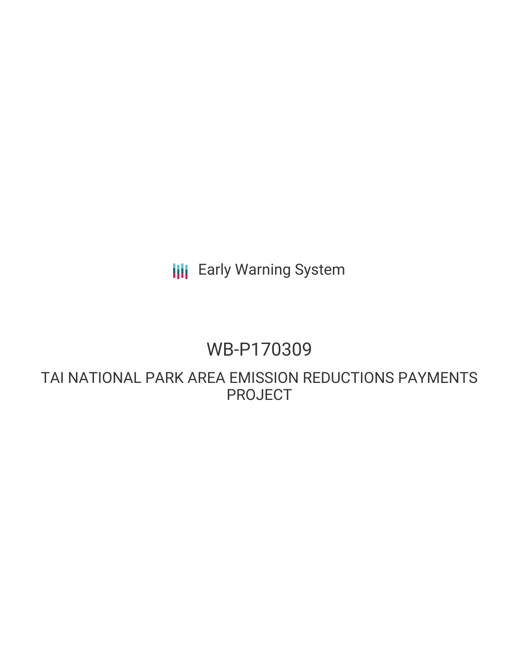**III** Early Warning System

# WB-P170309

TAI NATIONAL PARK AREA EMISSION REDUCTIONS PAYMENTS PROJECT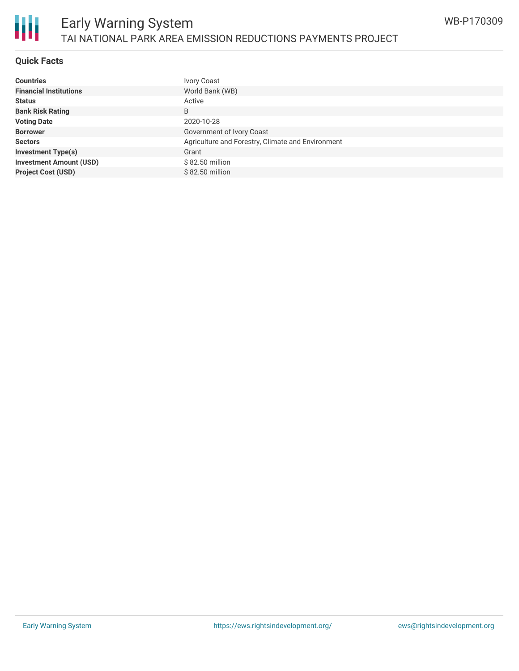

### Early Warning System TAI NATIONAL PARK AREA EMISSION REDUCTIONS PAYMENTS PROJECT

#### **Quick Facts**

| <b>Countries</b>               | Ivory Coast                                       |
|--------------------------------|---------------------------------------------------|
| <b>Financial Institutions</b>  | World Bank (WB)                                   |
| <b>Status</b>                  | Active                                            |
| <b>Bank Risk Rating</b>        | B                                                 |
| <b>Voting Date</b>             | 2020-10-28                                        |
| <b>Borrower</b>                | Government of Ivory Coast                         |
| <b>Sectors</b>                 | Agriculture and Forestry, Climate and Environment |
| <b>Investment Type(s)</b>      | Grant                                             |
| <b>Investment Amount (USD)</b> | \$82.50 million                                   |
| <b>Project Cost (USD)</b>      | \$82.50 million                                   |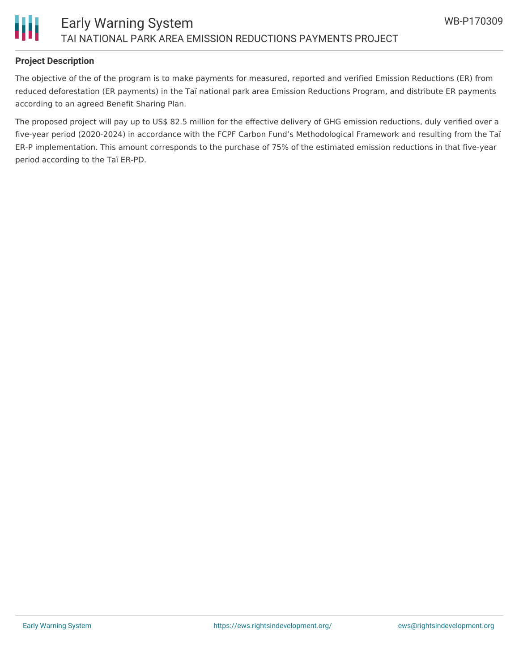

#### **Project Description**

The objective of the of the program is to make payments for measured, reported and verified Emission Reductions (ER) from reduced deforestation (ER payments) in the Taï national park area Emission Reductions Program, and distribute ER payments according to an agreed Benefit Sharing Plan.

The proposed project will pay up to US\$ 82.5 million for the effective delivery of GHG emission reductions, duly verified over a five-year period (2020-2024) in accordance with the FCPF Carbon Fund's Methodological Framework and resulting from the Taï ER-P implementation. This amount corresponds to the purchase of 75% of the estimated emission reductions in that five-year period according to the Taï ER-PD.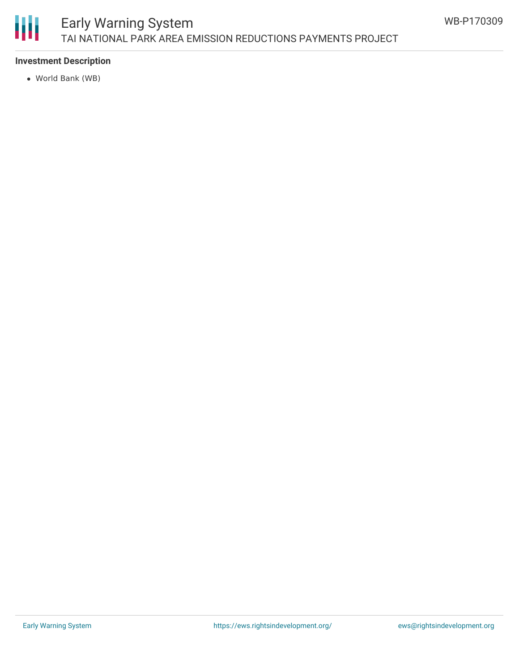

## Early Warning System TAI NATIONAL PARK AREA EMISSION REDUCTIONS PAYMENTS PROJECT

#### **Investment Description**

World Bank (WB)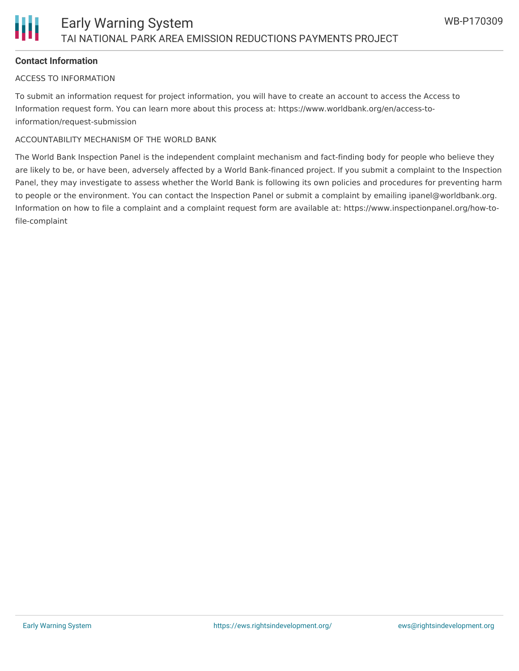

#### **Contact Information**

#### ACCESS TO INFORMATION

To submit an information request for project information, you will have to create an account to access the Access to Information request form. You can learn more about this process at: https://www.worldbank.org/en/access-toinformation/request-submission

#### ACCOUNTABILITY MECHANISM OF THE WORLD BANK

The World Bank Inspection Panel is the independent complaint mechanism and fact-finding body for people who believe they are likely to be, or have been, adversely affected by a World Bank-financed project. If you submit a complaint to the Inspection Panel, they may investigate to assess whether the World Bank is following its own policies and procedures for preventing harm to people or the environment. You can contact the Inspection Panel or submit a complaint by emailing ipanel@worldbank.org. Information on how to file a complaint and a complaint request form are available at: https://www.inspectionpanel.org/how-tofile-complaint